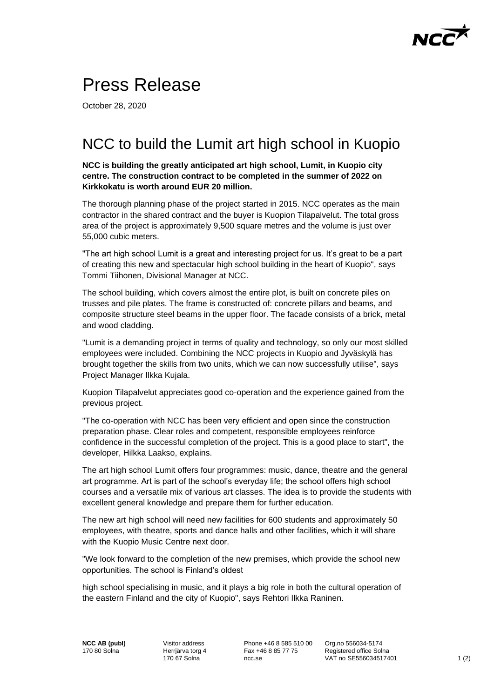## $NC\overrightarrow{C}$

## Press Release

October 28, 2020

## NCC to build the Lumit art high school in Kuopio

**NCC is building the greatly anticipated art high school, Lumit, in Kuopio city centre. The construction contract to be completed in the summer of 2022 on Kirkkokatu is worth around EUR 20 million.** 

The thorough planning phase of the project started in 2015. NCC operates as the main contractor in the shared contract and the buyer is Kuopion Tilapalvelut. The total gross area of the project is approximately 9,500 square metres and the volume is just over 55,000 cubic meters.

"The art high school Lumit is a great and interesting project for us. It's great to be a part of creating this new and spectacular high school building in the heart of Kuopio", says Tommi Tiihonen, Divisional Manager at NCC.

The school building, which covers almost the entire plot, is built on concrete piles on trusses and pile plates. The frame is constructed of: concrete pillars and beams, and composite structure steel beams in the upper floor. The facade consists of a brick, metal and wood cladding.

"Lumit is a demanding project in terms of quality and technology, so only our most skilled employees were included. Combining the NCC projects in Kuopio and Jyväskylä has brought together the skills from two units, which we can now successfully utilise", says Project Manager Ilkka Kujala.

Kuopion Tilapalvelut appreciates good co-operation and the experience gained from the previous project.

"The co-operation with NCC has been very efficient and open since the construction preparation phase. Clear roles and competent, responsible employees reinforce confidence in the successful completion of the project. This is a good place to start", the developer, Hilkka Laakso, explains.

The art high school Lumit offers four programmes: music, dance, theatre and the general art programme. Art is part of the school's everyday life; the school offers high school courses and a versatile mix of various art classes. The idea is to provide the students with excellent general knowledge and prepare them for further education.

The new art high school will need new facilities for 600 students and approximately 50 employees, with theatre, sports and dance halls and other facilities, which it will share with the Kuopio Music Centre next door.

"We look forward to the completion of the new premises, which provide the school new opportunities. The school is Finland's oldest

high school specialising in music, and it plays a big role in both the cultural operation of the eastern Finland and the city of Kuopio", says Rehtori Ilkka Raninen.

**NCC AB (publ)** 170 80 Solna

Visitor address Herrjärva torg 4 170 67 Solna

Phone +46 8 585 510 00 Fax +46 8 85 77 75 ncc.se

Org.no 556034-5174 Registered office Solna VAT no SE556034517401 1 (2)